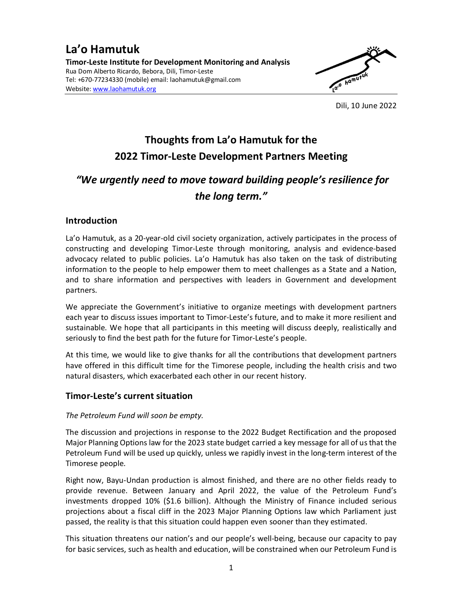### **La'o Hamutuk Timor-Leste Institute for Development Monitoring and Analysis**  Rua Dom Alberto Ricardo, Bebora, Dili, Timor-Leste Tel: +670-77234330 (mobile) email: laohamutuk@gmail.com Website: www.laohamutuk.org



Dili, 10 June 2022

# **Thoughts from La'o Hamutuk for the 2022 Timor-Leste Development Partners Meeting**

## *"We urgently need to move toward building people's resilience for the long term."*

## **Introduction**

La'o Hamutuk, as a 20-year-old civil society organization, actively participates in the process of constructing and developing Timor-Leste through monitoring, analysis and evidence-based advocacy related to public policies. La'o Hamutuk has also taken on the task of distributing information to the people to help empower them to meet challenges as a State and a Nation, and to share information and perspectives with leaders in Government and development partners.

We appreciate the Government's initiative to organize meetings with development partners each year to discuss issues important to Timor-Leste's future, and to make it more resilient and sustainable. We hope that all participants in this meeting will discuss deeply, realistically and seriously to find the best path for the future for Timor-Leste's people.

At this time, we would like to give thanks for all the contributions that development partners have offered in this difficult time for the Timorese people, including the health crisis and two natural disasters, which exacerbated each other in our recent history.

## **Timor-Leste's current situation**

#### *The Petroleum Fund will soon be empty.*

The discussion and projections in response to the 2022 Budget Rectification and the proposed Major Planning Options law for the 2023 state budget carried a key message for all of us that the Petroleum Fund will be used up quickly, unless we rapidly invest in the long-term interest of the Timorese people.

Right now, Bayu-Undan production is almost finished, and there are no other fields ready to provide revenue. Between January and April 2022, the value of the Petroleum Fund's investments dropped 10% (\$1.6 billion). Although the Ministry of Finance included serious projections about a fiscal cliff in the 2023 Major Planning Options law which Parliament just passed, the reality is that this situation could happen even sooner than they estimated.

This situation threatens our nation's and our people's well-being, because our capacity to pay for basic services, such as health and education, will be constrained when our Petroleum Fund is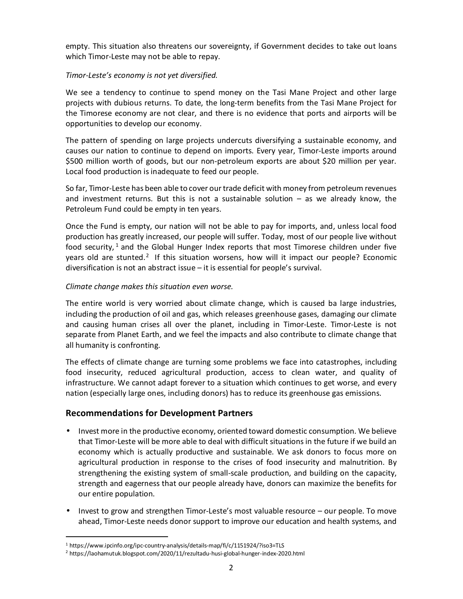empty. This situation also threatens our sovereignty, if Government decides to take out loans which Timor-Leste may not be able to repay.

#### *Timor-Leste's economy is not yet diversified.*

We see a tendency to continue to spend money on the Tasi Mane Project and other large projects with dubious returns. To date, the long-term benefits from the Tasi Mane Project for the Timorese economy are not clear, and there is no evidence that ports and airports will be opportunities to develop our economy.

The pattern of spending on large projects undercuts diversifying a sustainable economy, and causes our nation to continue to depend on imports. Every year, Timor-Leste imports around \$500 million worth of goods, but our non-petroleum exports are about \$20 million per year. Local food production is inadequate to feed our people.

So far, Timor-Leste has been able to cover our trade deficit with money from petroleum revenues and investment returns. But this is not a sustainable solution  $-$  as we already know, the Petroleum Fund could be empty in ten years.

Once the Fund is empty, our nation will not be able to pay for imports, and, unless local food production has greatly increased, our people will suffer. Today, most of our people live without food security,  $1$  and the Global Hunger Index reports that most Timorese children under five years old are stunted.<sup>2</sup> If this situation worsens, how will it impact our people? Economic diversification is not an abstract issue – it is essential for people's survival.

#### *Climate change makes this situation even worse.*

The entire world is very worried about climate change, which is caused ba large industries, including the production of oil and gas, which releases greenhouse gases, damaging our climate and causing human crises all over the planet, including in Timor-Leste. Timor-Leste is not separate from Planet Earth, and we feel the impacts and also contribute to climate change that all humanity is confronting.

The effects of climate change are turning some problems we face into catastrophes, including food insecurity, reduced agricultural production, access to clean water, and quality of infrastructure. We cannot adapt forever to a situation which continues to get worse, and every nation (especially large ones, including donors) has to reduce its greenhouse gas emissions.

## **Recommendations for Development Partners**

- Invest more in the productive economy, oriented toward domestic consumption. We believe that Timor-Leste will be more able to deal with difficult situations in the future if we build an economy which is actually productive and sustainable. We ask donors to focus more on agricultural production in response to the crises of food insecurity and malnutrition. By strengthening the existing system of small-scale production, and building on the capacity, strength and eagerness that our people already have, donors can maximize the benefits for our entire population.
- Invest to grow and strengthen Timor-Leste's most valuable resource our people. To move ahead, Timor-Leste needs donor support to improve our education and health systems, and

 $\overline{a}$ 

<sup>&</sup>lt;sup>1</sup> https://www.ipcinfo.org/ipc-country-analysis/details-map/fi/c/1151924/?iso3=TLS

<sup>&</sup>lt;sup>2</sup> https://laohamutuk.blogspot.com/2020/11/rezultadu-husi-global-hunger-index-2020.html